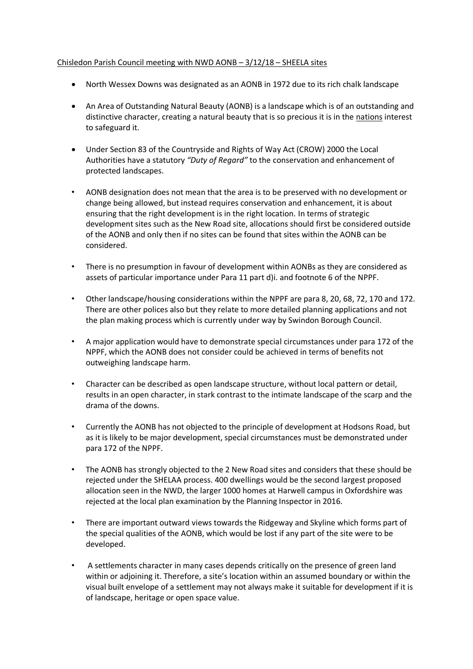## Chisledon Parish Council meeting with NWD AONB – 3/12/18 – SHEELA sites

- North Wessex Downs was designated as an AONB in 1972 due to its rich chalk landscape
- An Area of Outstanding Natural Beauty (AONB) is a landscape which is of an outstanding and distinctive character, creating a natural beauty that is so precious it is in the nations interest to safeguard it.
- Under Section 83 of the Countryside and Rights of Way Act (CROW) 2000 the Local Authorities have a statutory *"Duty of Regard"* to the conservation and enhancement of protected landscapes.
- AONB designation does not mean that the area is to be preserved with no development or change being allowed, but instead requires conservation and enhancement, it is about ensuring that the right development is in the right location. In terms of strategic development sites such as the New Road site, allocations should first be considered outside of the AONB and only then if no sites can be found that sites within the AONB can be considered.
- There is no presumption in favour of development within AONBs as they are considered as assets of particular importance under Para 11 part d)i. and footnote 6 of the NPPF.
- Other landscape/housing considerations within the NPPF are para 8, 20, 68, 72, 170 and 172. There are other polices also but they relate to more detailed planning applications and not the plan making process which is currently under way by Swindon Borough Council.
- A major application would have to demonstrate special circumstances under para 172 of the NPPF, which the AONB does not consider could be achieved in terms of benefits not outweighing landscape harm.
- Character can be described as open landscape structure, without local pattern or detail, results in an open character, in stark contrast to the intimate landscape of the scarp and the drama of the downs.
- Currently the AONB has not objected to the principle of development at Hodsons Road, but as it is likely to be major development, special circumstances must be demonstrated under para 172 of the NPPF.
- The AONB has strongly objected to the 2 New Road sites and considers that these should be rejected under the SHELAA process. 400 dwellings would be the second largest proposed allocation seen in the NWD, the larger 1000 homes at Harwell campus in Oxfordshire was rejected at the local plan examination by the Planning Inspector in 2016.
- There are important outward views towards the Ridgeway and Skyline which forms part of the special qualities of the AONB, which would be lost if any part of the site were to be developed.
- A settlements character in many cases depends critically on the presence of green land within or adjoining it. Therefore, a site's location within an assumed boundary or within the visual built envelope of a settlement may not always make it suitable for development if it is of landscape, heritage or open space value.